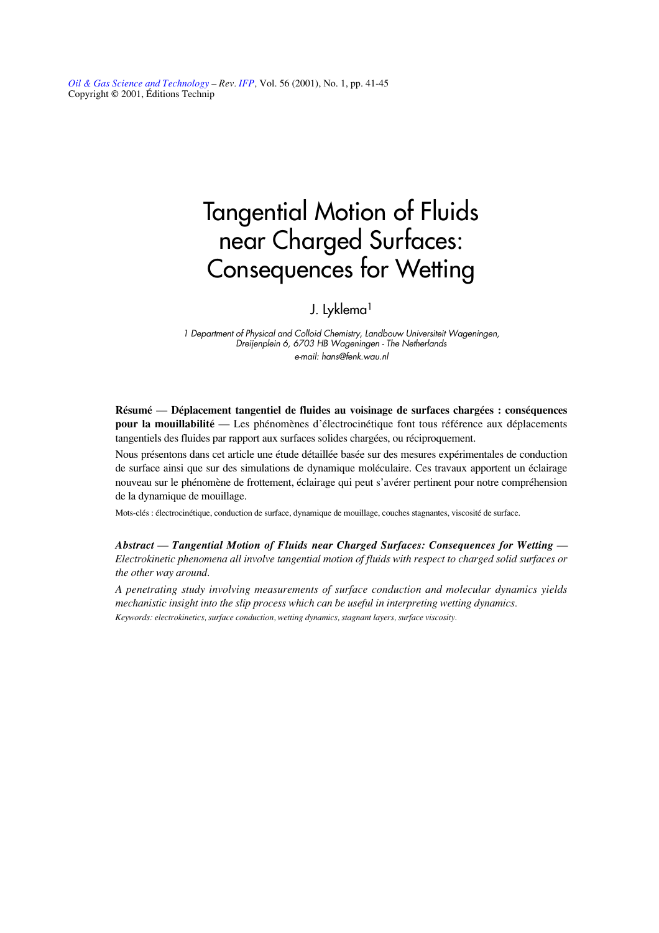*[Oil & Gas Science and Technology](http://ogst.ifp.fr/) – Rev. [IFP,](http://www.ifp.fr/)* Vol. 56 (2001), No. 1, pp. 41-45 Copyright © 2001, Éditions Technip

# Tangential Motion of Fluids near Charged Surfaces: Consequences for Wetting

J. Lyklema<sup>1</sup>

*1 Department of Physical and Colloid Chemistry, Landbouw Universiteit Wageningen, Dreijenplein 6, 6703 HB Wageningen - The Netherlands e-mail: hans@fenk.wau.nl*

**Résumé** — **Déplacement tangentiel de fluides au voisinage de surfaces chargées : conséquences pour la mouillabilité** — Les phénomènes d'électrocinétique font tous référence aux déplacements tangentiels des fluides par rapport aux surfaces solides chargées, ou réciproquement.

Nous présentons dans cet article une étude détaillée basée sur des mesures expérimentales de conduction de surface ainsi que sur des simulations de dynamique moléculaire. Ces travaux apportent un éclairage nouveau sur le phénomène de frottement, éclairage qui peut s'avérer pertinent pour notre compréhension de la dynamique de mouillage.

Mots-clés : électrocinétique, conduction de surface, dynamique de mouillage, couches stagnantes, viscosité de surface.

*Abstract — Tangential Motion of Fluids near Charged Surfaces: Consequences for Wetting — Electrokinetic phenomena all involve tangential motion of fluids with respect to charged solid surfaces or the other way around.* 

*A penetrating study involving measurements of surface conduction and molecular dynamics yields mechanistic insight into the slip process which can be useful in interpreting wetting dynamics. Keywords: electrokinetics, surface conduction, wetting dynamics, stagnant layers, surface viscosity.*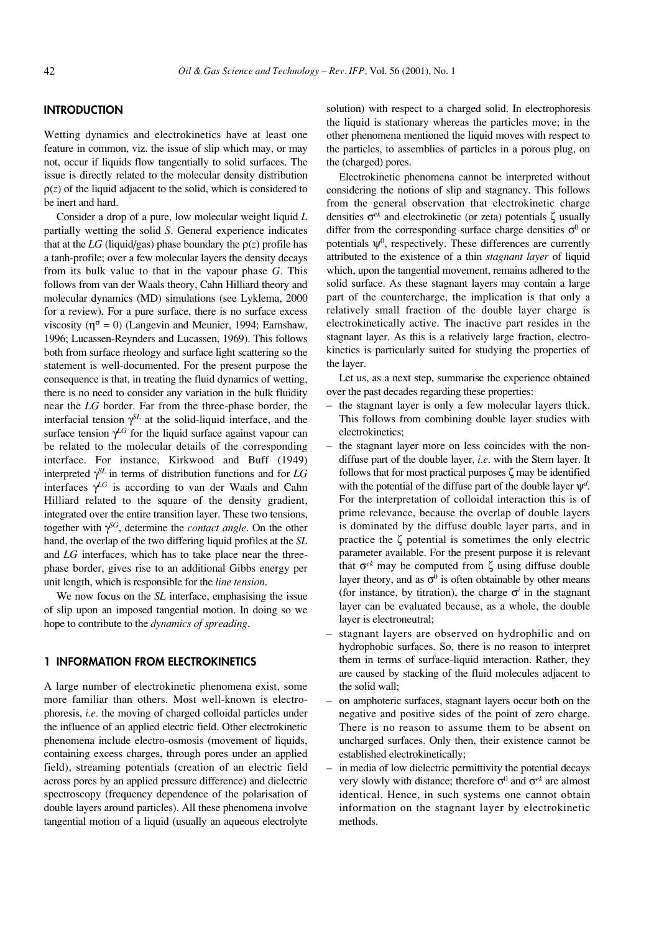# **INTRODUCTION**

Wetting dynamics and electrokinetics have at least one feature in common, viz. the issue of slip which may, or may not, occur if liquids flow tangentially to solid surfaces. The issue is directly related to the molecular density distribution  $\rho(z)$  of the liquid adjacent to the solid, which is considered to be inert and hard.

Consider a drop of a pure, low molecular weight liquid *L* partially wetting the solid *S*. General experience indicates that at the *LG* (liquid/gas) phase boundary the  $\rho(z)$  profile has a tanh-profile; over a few molecular layers the density decays from its bulk value to that in the vapour phase *G*. This follows from van der Waals theory, Cahn Hilliard theory and molecular dynamics (MD) simulations (see Lyklema, 2000 for a review). For a pure surface, there is no surface excess viscosity ( $\eta^{\sigma} = 0$ ) (Langevin and Meunier, 1994; Earnshaw, 1996; Lucassen-Reynders and Lucassen, 1969). This follows both from surface rheology and surface light scattering so the statement is well-documented. For the present purpose the consequence is that, in treating the fluid dynamics of wetting, there is no need to consider any variation in the bulk fluidity near the *LG* border. Far from the three-phase border, the interfacial tension  $\gamma^{SL}$  at the solid-liquid interface, and the surface tension  $\gamma^{LG}$  for the liquid surface against vapour can be related to the molecular details of the corresponding interface. For instance, Kirkwood and Buff (1949) interpreted γ*SL* in terms of distribution functions and for *LG* interfaces  $\gamma^{LG}$  is according to van der Waals and Cahn Hilliard related to the square of the density gradient, integrated over the entire transition layer. These two tensions, together with γ*SG*, determine the *contact angle*. On the other hand, the overlap of the two differing liquid profiles at the *SL* and *LG* interfaces, which has to take place near the threephase border, gives rise to an additional Gibbs energy per unit length, which is responsible for the *line tension*.

We now focus on the *SL* interface, emphasising the issue of slip upon an imposed tangential motion. In doing so we hope to contribute to the *dynamics of spreading*.

## **1 INFORMATION FROM ELECTROKINETICS**

A large number of electrokinetic phenomena exist, some more familiar than others. Most well-known is electrophoresis, *i.e.* the moving of charged colloidal particles under the influence of an applied electric field. Other electrokinetic phenomena include electro-osmosis (movement of liquids, containing excess charges, through pores under an applied field), streaming potentials (creation of an electric field across pores by an applied pressure difference) and dielectric spectroscopy (frequency dependence of the polarisation of double layers around particles). All these phenomena involve tangential motion of a liquid (usually an aqueous electrolyte

solution) with respect to a charged solid. In electrophoresis the liquid is stationary whereas the particles move; in the other phenomena mentioned the liquid moves with respect to the particles, to assemblies of particles in a porous plug, on the (charged) pores.

Electrokinetic phenomena cannot be interpreted without considering the notions of slip and stagnancy. This follows from the general observation that electrokinetic charge densities σ*ek* and electrokinetic (or zeta) potentials ζ usually differ from the corresponding surface charge densities  $\sigma^0$  or potentials  $\psi^0$ , respectively. These differences are currently attributed to the existence of a thin *stagnant layer* of liquid which, upon the tangential movement, remains adhered to the solid surface. As these stagnant layers may contain a large part of the countercharge, the implication is that only a relatively small fraction of the double layer charge is electrokinetically active. The inactive part resides in the stagnant layer. As this is a relatively large fraction, electrokinetics is particularly suited for studying the properties of the layer.

Let us, as a next step, summarise the experience obtained over the past decades regarding these properties:

- the stagnant layer is only a few molecular layers thick. This follows from combining double layer studies with electrokinetics;
- the stagnant layer more on less coincides with the nondiffuse part of the double layer, *i.e*. with the Stern layer. It follows that for most practical purposes ζ may be identified with the potential of the diffuse part of the double layer ψ*<sup>d</sup>*. For the interpretation of colloidal interaction this is of prime relevance, because the overlap of double layers is dominated by the diffuse double layer parts, and in practice the ζ potential is sometimes the only electric parameter available. For the present purpose it is relevant that  $\sigma^{ek}$  may be computed from  $\zeta$  using diffuse double layer theory, and as  $\sigma^0$  is often obtainable by other means (for instance, by titration), the charge  $\sigma^i$  in the stagnant layer can be evaluated because, as a whole, the double layer is electroneutral;
- stagnant layers are observed on hydrophilic and on hydrophobic surfaces. So, there is no reason to interpret them in terms of surface-liquid interaction. Rather, they are caused by stacking of the fluid molecules adjacent to the solid wall;
- on amphoteric surfaces, stagnant layers occur both on the negative and positive sides of the point of zero charge. There is no reason to assume them to be absent on uncharged surfaces. Only then, their existence cannot be established electrokinetically;
- in media of low dielectric permittivity the potential decays very slowly with distance; therefore  $\sigma^0$  and  $\sigma^{ek}$  are almost identical. Hence, in such systems one cannot obtain information on the stagnant layer by electrokinetic methods.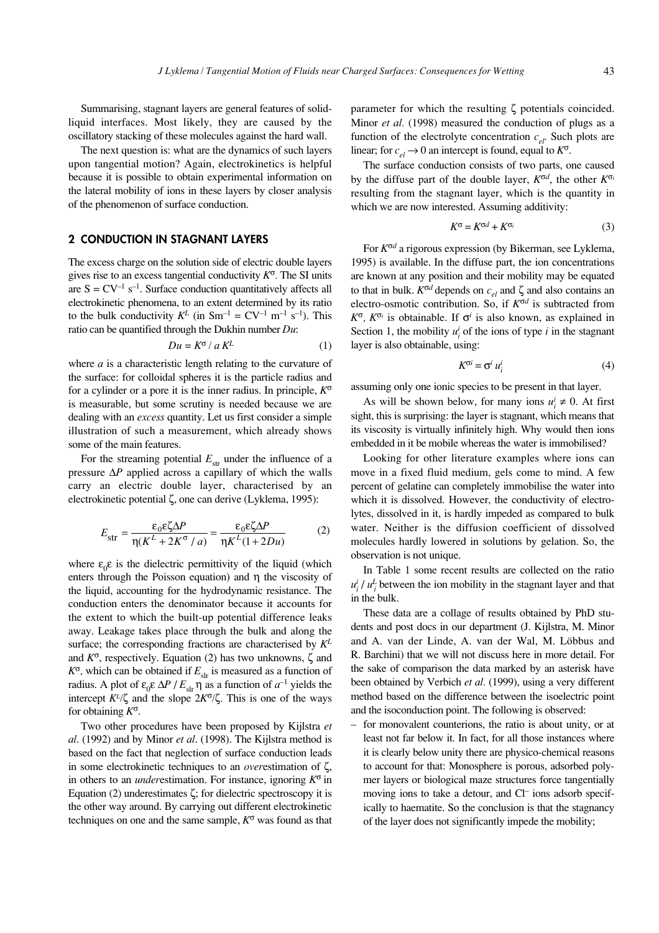Summarising, stagnant layers are general features of solidliquid interfaces. Most likely, they are caused by the oscillatory stacking of these molecules against the hard wall.

The next question is: what are the dynamics of such layers upon tangential motion? Again, electrokinetics is helpful because it is possible to obtain experimental information on the lateral mobility of ions in these layers by closer analysis of the phenomenon of surface conduction.

## **2 CONDUCTION IN STAGNANT LAYERS**

The excess charge on the solution side of electric double layers gives rise to an excess tangential conductivity *K*<sup>σ</sup>*.* The SI units are  $S = CV^{-1} s^{-1}$ . Surface conduction quantitatively affects all electrokinetic phenomena, to an extent determined by its ratio to the bulk conductivity  $K^L$  (in Sm<sup>-1</sup> = CV<sup>-1</sup> m<sup>-1</sup> s<sup>-1</sup>). This ratio can be quantified through the Dukhin number *Du*:

$$
Du = K^{\sigma} / a K^{L}
$$
 (1)

where *a* is a characteristic length relating to the curvature of the surface: for colloidal spheres it is the particle radius and for a cylinder or a pore it is the inner radius. In principle, *K*<sup>σ</sup> is measurable, but some scrutiny is needed because we are dealing with an *excess* quantity. Let us first consider a simple illustration of such a measurement, which already shows some of the main features.

For the streaming potential  $E_{\text{str}}$  under the influence of a pressure ∆*P* applied across a capillary of which the walls carry an electric double layer, characterised by an electrokinetic potential ζ, one can derive (Lyklema, 1995):

$$
E_{\text{str}} = \frac{\varepsilon_0 \varepsilon \zeta \Delta P}{\eta (K^L + 2K^{\sigma} / a)} = \frac{\varepsilon_0 \varepsilon \zeta \Delta P}{\eta K^L (1 + 2Du)} \tag{2}
$$

where  $\varepsilon_0 \varepsilon$  is the dielectric permittivity of the liquid (which enters through the Poisson equation) and η the viscosity of the liquid, accounting for the hydrodynamic resistance. The conduction enters the denominator because it accounts for the extent to which the built-up potential difference leaks away. Leakage takes place through the bulk and along the surface; the corresponding fractions are characterised by *KL* and *K*<sup>σ</sup>, respectively. Equation (2) has two unknowns, ζ and  $K^{\sigma}$ , which can be obtained if  $E_{\rm str}$  is measured as a function of radius. A plot of  $\epsilon_0 \epsilon \Delta P / E_{\text{str}} \eta$  as a function of  $a^{-1}$  yields the intercept *KL/*ζ and the slope 2*K*<sup>σ</sup>*/*ζ*.* This is one of the ways for obtaining *K*<sup>σ</sup>.

Two other procedures have been proposed by Kijlstra *et al*. (1992) and by Minor *et al*. (1998). The Kijlstra method is based on the fact that neglection of surface conduction leads in some electrokinetic techniques to an *over*estimation of ζ, in others to an *under*estimation. For instance, ignoring *K*<sup>σ</sup> in Equation (2) underestimates  $\zeta$ ; for dielectric spectroscopy it is the other way around. By carrying out different electrokinetic techniques on one and the same sample, *K*<sup>σ</sup> was found as that

parameter for which the resulting ζ potentials coincided. Minor *et al.* (1998) measured the conduction of plugs as a function of the electrolyte concentration  $c_{el}$ . Such plots are linear; for  $c_{el} \rightarrow 0$  an intercept is found, equal to  $K^{\sigma}$ .

The surface conduction consists of two parts, one caused by the diffuse part of the double layer, *K*<sup>σ</sup>*<sup>d</sup>*, the other *K*<sup>σ</sup>*<sup>i</sup>* resulting from the stagnant layer, which is the quantity in which we are now interested. Assuming additivity:

$$
K^{\sigma} = K^{\sigma d} + K^{\sigma i} \tag{3}
$$

For *K*<sup>σ</sup>*<sup>d</sup>* a rigorous expression (by Bikerman, see Lyklema, 1995) is available. In the diffuse part, the ion concentrations are known at any position and their mobility may be equated to that in bulk.  $K^{\sigma d}$  depends on  $c_{el}$  and  $\zeta$  and also contains an electro-osmotic contribution. So, if *K*<sup>σ</sup>*<sup>d</sup>* is subtracted from *K*<sup>σ</sup>*, K*<sup>σ</sup>*<sup>i</sup>* is obtainable. If σ*<sup>i</sup>* is also known, as explained in Section 1, the mobility  $u_i^i$  of the ions of type *i* in the stagnant layer is also obtainable, using:

$$
K^{\sigma i} = \sigma^i u_i^i \tag{4}
$$

assuming only one ionic species to be present in that layer.

As will be shown below, for many ions  $u_i^i \neq 0$ . At first sight, this is surprising: the layer is stagnant, which means that its viscosity is virtually infinitely high. Why would then ions embedded in it be mobile whereas the water is immobilised?

Looking for other literature examples where ions can move in a fixed fluid medium, gels come to mind. A few percent of gelatine can completely immobilise the water into which it is dissolved. However, the conductivity of electrolytes, dissolved in it, is hardly impeded as compared to bulk water. Neither is the diffusion coefficient of dissolved molecules hardly lowered in solutions by gelation. So, the observation is not unique.

In Table 1 some recent results are collected on the ratio  $u_i^i / u_i^L$  between the ion mobility in the stagnant layer and that in the bulk.

These data are a collage of results obtained by PhD students and post docs in our department (J. Kijlstra, M. Minor and A. van der Linde, A. van der Wal, M. Löbbus and R. Barchini) that we will not discuss here in more detail. For the sake of comparison the data marked by an asterisk have been obtained by Verbich *et al.* (1999), using a very different method based on the difference between the isoelectric point and the isoconduction point. The following is observed:

– for monovalent counterions, the ratio is about unity, or at least not far below it. In fact, for all those instances where it is clearly below unity there are physico-chemical reasons to account for that: Monosphere is porous, adsorbed polymer layers or biological maze structures force tangentially moving ions to take a detour, and Cl– ions adsorb specifically to haematite. So the conclusion is that the stagnancy of the layer does not significantly impede the mobility;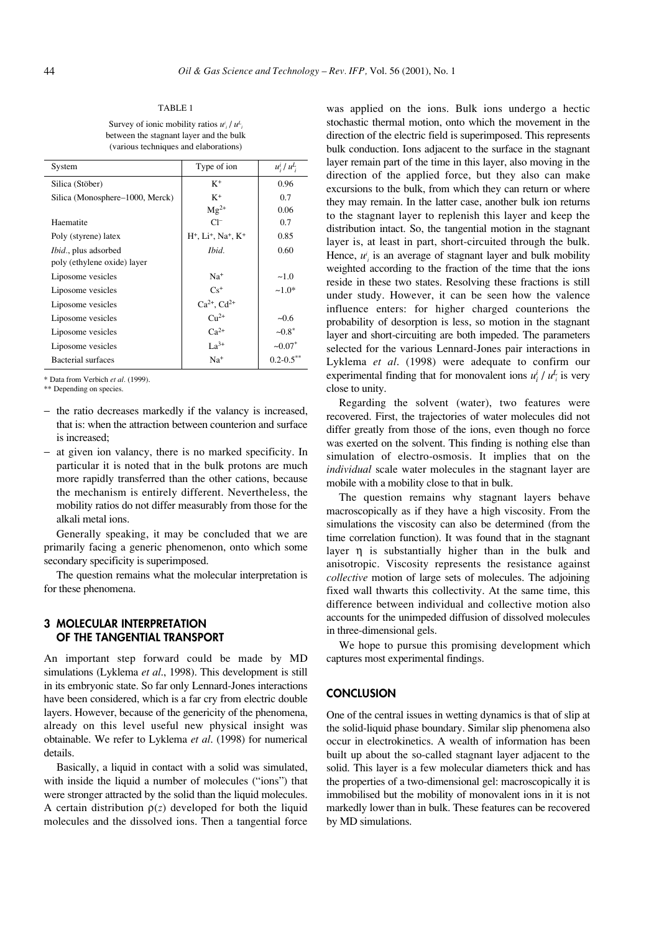#### TABLE 1

Survey of ionic mobility ratios  $u_i^i / u_j^i$ between the stagnant layer and the bulk (various techniques and elaborations)

| System                          | Type of ion                                                | $u_i^i / u_j^L$ |
|---------------------------------|------------------------------------------------------------|-----------------|
| Silica (Stöber)                 | $K^+$                                                      | 0.96            |
| Silica (Monosphere–1000, Merck) | $K^+$                                                      | 0.7             |
|                                 | $Mg^{2+}$                                                  | 0.06            |
| Haematite                       | $Cl^-$                                                     | 0.7             |
| Poly (styrene) latex            | $H^+$ , Li <sup>+</sup> , Na <sup>+</sup> , K <sup>+</sup> | 0.85            |
| <i>Ibid.</i> , plus adsorbed    | Ibid.                                                      | 0.60            |
| poly (ethylene oxide) layer     |                                                            |                 |
| Liposome vesicles               | $Na+$                                                      | ~1.0            |
| Liposome vesicles               | $Cs+$                                                      | $-1.0*$         |
| Liposome vesicles               | $Ca^{2+}$ , $Cd^{2+}$                                      |                 |
| Liposome vesicles               | $Cu^{2+}$                                                  | ~10.6           |
| Liposome vesicles               | $Ca^{2+}$                                                  | $-0.8*$         |
| Liposome vesicles               | $La^{3+}$                                                  | $-0.07^*$       |
| Bacterial surfaces              | $Na+$                                                      | $0.2 - 0.5$ **  |

\* Data from Verbich *et al.* (1999).

\*\* Depending on species.

- − the ratio decreases markedly if the valancy is increased, that is: when the attraction between counterion and surface is increased;
- − at given ion valancy, there is no marked specificity. In particular it is noted that in the bulk protons are much more rapidly transferred than the other cations, because the mechanism is entirely different. Nevertheless, the mobility ratios do not differ measurably from those for the alkali metal ions.

Generally speaking, it may be concluded that we are primarily facing a generic phenomenon, onto which some secondary specificity is superimposed.

The question remains what the molecular interpretation is for these phenomena.

# **3 MOLECULAR INTERPRETATION OF THE TANGENTIAL TRANSPORT**

An important step forward could be made by MD simulations (Lyklema *et al*., 1998). This development is still in its embryonic state. So far only Lennard-Jones interactions have been considered, which is a far cry from electric double layers. However, because of the genericity of the phenomena, already on this level useful new physical insight was obtainable. We refer to Lyklema *et al*. (1998) for numerical details.

Basically, a liquid in contact with a solid was simulated, with inside the liquid a number of molecules ("ions") that were stronger attracted by the solid than the liquid molecules. A certain distribution  $p(z)$  developed for both the liquid molecules and the dissolved ions. Then a tangential force was applied on the ions. Bulk ions undergo a hectic stochastic thermal motion, onto which the movement in the direction of the electric field is superimposed. This represents bulk conduction. Ions adjacent to the surface in the stagnant layer remain part of the time in this layer, also moving in the direction of the applied force, but they also can make excursions to the bulk, from which they can return or where they may remain. In the latter case, another bulk ion returns to the stagnant layer to replenish this layer and keep the distribution intact. So, the tangential motion in the stagnant layer is, at least in part, short-circuited through the bulk. Hence,  $u_i$  is an average of stagnant layer and bulk mobility weighted according to the fraction of the time that the ions reside in these two states. Resolving these fractions is still under study. However, it can be seen how the valence influence enters: for higher charged counterions the probability of desorption is less, so motion in the stagnant layer and short-circuiting are both impeded. The parameters selected for the various Lennard-Jones pair interactions in Lyklema *et al*. (1998) were adequate to confirm our experimental finding that for monovalent ions  $u_i^i / u_i^L$  is very close to unity.

Regarding the solvent (water), two features were recovered. First, the trajectories of water molecules did not differ greatly from those of the ions, even though no force was exerted on the solvent. This finding is nothing else than simulation of electro-osmosis. It implies that on the *individual* scale water molecules in the stagnant layer are mobile with a mobility close to that in bulk.

The question remains why stagnant layers behave macroscopically as if they have a high viscosity. From the simulations the viscosity can also be determined (from the time correlation function). It was found that in the stagnant layer η is substantially higher than in the bulk and anisotropic. Viscosity represents the resistance against *collective* motion of large sets of molecules. The adjoining fixed wall thwarts this collectivity. At the same time, this difference between individual and collective motion also accounts for the unimpeded diffusion of dissolved molecules in three-dimensional gels.

We hope to pursue this promising development which captures most experimental findings.

## **CONCLUSION**

One of the central issues in wetting dynamics is that of slip at the solid-liquid phase boundary. Similar slip phenomena also occur in electrokinetics. A wealth of information has been built up about the so-called stagnant layer adjacent to the solid. This layer is a few molecular diameters thick and has the properties of a two-dimensional gel: macroscopically it is immobilised but the mobility of monovalent ions in it is not markedly lower than in bulk. These features can be recovered by MD simulations.